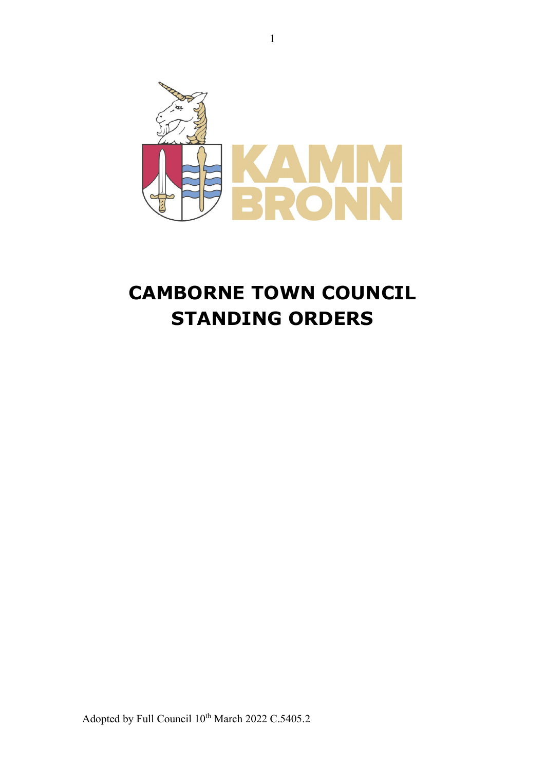

# **CAMBORNE TOWN COUNCIL STANDING ORDERS**

Adopted by Full Council  $10^{th}$  March 2022 C.5405.2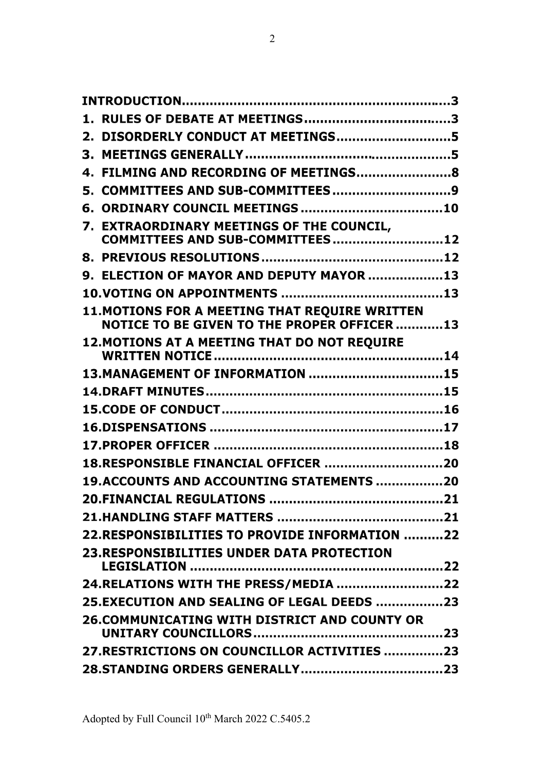| 2. DISORDERLY CONDUCT AT MEETINGS5                                                                  |  |
|-----------------------------------------------------------------------------------------------------|--|
|                                                                                                     |  |
| 4. FILMING AND RECORDING OF MEETINGS8                                                               |  |
| 5. COMMITTEES AND SUB-COMMITTEES9                                                                   |  |
|                                                                                                     |  |
| 7. EXTRAORDINARY MEETINGS OF THE COUNCIL,<br>COMMITTEES AND SUB-COMMITTEES 12                       |  |
|                                                                                                     |  |
| 9. ELECTION OF MAYOR AND DEPUTY MAYOR 13                                                            |  |
|                                                                                                     |  |
| <b>11.MOTIONS FOR A MEETING THAT REQUIRE WRITTEN</b><br>NOTICE TO BE GIVEN TO THE PROPER OFFICER 13 |  |
| <b>12. MOTIONS AT A MEETING THAT DO NOT REQUIRE</b>                                                 |  |
| 13. MANAGEMENT OF INFORMATION  15                                                                   |  |
|                                                                                                     |  |
|                                                                                                     |  |
|                                                                                                     |  |
|                                                                                                     |  |
| 18.RESPONSIBLE FINANCIAL OFFICER 20                                                                 |  |
| 19.ACCOUNTS AND ACCOUNTING STATEMENTS 20                                                            |  |
|                                                                                                     |  |
|                                                                                                     |  |
| 22.RESPONSIBILITIES TO PROVIDE INFORMATION 22                                                       |  |
| <b>23.RESPONSIBILITIES UNDER DATA PROTECTION</b>                                                    |  |
| 24.RELATIONS WITH THE PRESS/MEDIA 22                                                                |  |
| 25.EXECUTION AND SEALING OF LEGAL DEEDS 23                                                          |  |
| <b>26.COMMUNICATING WITH DISTRICT AND COUNTY OR</b>                                                 |  |
| 27.RESTRICTIONS ON COUNCILLOR ACTIVITIES 23                                                         |  |
|                                                                                                     |  |
|                                                                                                     |  |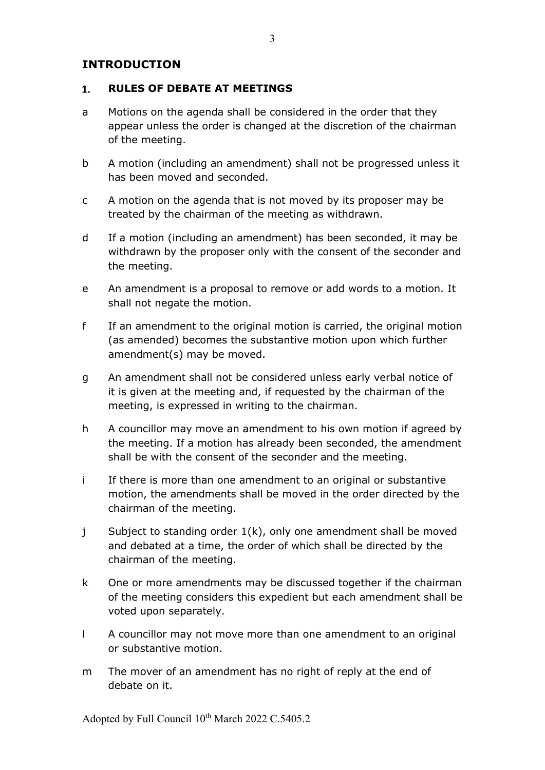## **INTRODUCTION**

#### **RULES OF DEBATE AT MEETINGS**  $\mathbf{1}$ .

- a Motions on the agenda shall be considered in the order that they appear unless the order is changed at the discretion of the chairman of the meeting.
- b A motion (including an amendment) shall not be progressed unless it has been moved and seconded.
- c A motion on the agenda that is not moved by its proposer may be treated by the chairman of the meeting as withdrawn.
- d If a motion (including an amendment) has been seconded, it may be withdrawn by the proposer only with the consent of the seconder and the meeting.
- e An amendment is a proposal to remove or add words to a motion. It shall not negate the motion.
- f If an amendment to the original motion is carried, the original motion (as amended) becomes the substantive motion upon which further amendment(s) may be moved.
- g An amendment shall not be considered unless early verbal notice of it is given at the meeting and, if requested by the chairman of the meeting, is expressed in writing to the chairman.
- h A councillor may move an amendment to his own motion if agreed by the meeting. If a motion has already been seconded, the amendment shall be with the consent of the seconder and the meeting.
- i If there is more than one amendment to an original or substantive motion, the amendments shall be moved in the order directed by the chairman of the meeting.
- j Subject to standing order 1(k), only one amendment shall be moved and debated at a time, the order of which shall be directed by the chairman of the meeting.
- k One or more amendments may be discussed together if the chairman of the meeting considers this expedient but each amendment shall be voted upon separately.
- l A councillor may not move more than one amendment to an original or substantive motion.
- m The mover of an amendment has no right of reply at the end of debate on it.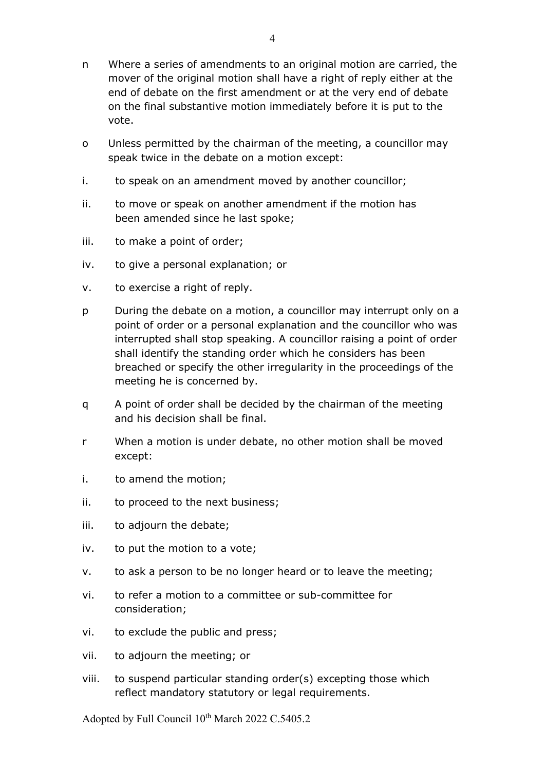- n Where a series of amendments to an original motion are carried, the mover of the original motion shall have a right of reply either at the end of debate on the first amendment or at the very end of debate on the final substantive motion immediately before it is put to the vote.
- o Unless permitted by the chairman of the meeting, a councillor may speak twice in the debate on a motion except:
- i. to speak on an amendment moved by another councillor;
- ii. to move or speak on another amendment if the motion has been amended since he last spoke;
- iii. to make a point of order;
- iv. to give a personal explanation; or
- v. to exercise a right of reply.
- p During the debate on a motion, a councillor may interrupt only on a point of order or a personal explanation and the councillor who was interrupted shall stop speaking. A councillor raising a point of order shall identify the standing order which he considers has been breached or specify the other irregularity in the proceedings of the meeting he is concerned by.
- q A point of order shall be decided by the chairman of the meeting and his decision shall be final.
- r When a motion is under debate, no other motion shall be moved except:
- i. to amend the motion;
- ii. to proceed to the next business;
- iii. to adjourn the debate;
- iv. to put the motion to a vote;
- v. to ask a person to be no longer heard or to leave the meeting;
- vi. to refer a motion to a committee or sub-committee for consideration;
- vi. to exclude the public and press;
- vii. to adjourn the meeting; or
- viii. to suspend particular standing order(s) excepting those which reflect mandatory statutory or legal requirements.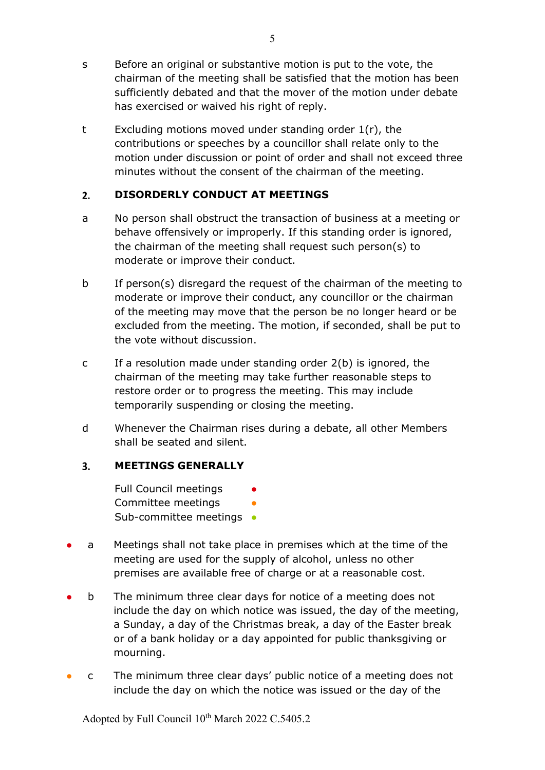- s Before an original or substantive motion is put to the vote, the chairman of the meeting shall be satisfied that the motion has been sufficiently debated and that the mover of the motion under debate has exercised or waived his right of reply.
- t Excluding motions moved under standing order 1(r), the contributions or speeches by a councillor shall relate only to the motion under discussion or point of order and shall not exceed three minutes without the consent of the chairman of the meeting.

#### $2.$ **DISORDERLY CONDUCT AT MEETINGS**

- a No person shall obstruct the transaction of business at a meeting or behave offensively or improperly. If this standing order is ignored, the chairman of the meeting shall request such person(s) to moderate or improve their conduct.
- b If person(s) disregard the request of the chairman of the meeting to moderate or improve their conduct, any councillor or the chairman of the meeting may move that the person be no longer heard or be excluded from the meeting. The motion, if seconded, shall be put to the vote without discussion.
- c If a resolution made under standing order 2(b) is ignored, the chairman of the meeting may take further reasonable steps to restore order or to progress the meeting. This may include temporarily suspending or closing the meeting.
- d Whenever the Chairman rises during a debate, all other Members shall be seated and silent.

#### $3<sub>1</sub>$ **MEETINGS GENERALLY**

Full Council meetings Committee meetings Sub-committee meetings •

- a Meetings shall not take place in premises which at the time of the meeting are used for the supply of alcohol, unless no other premises are available free of charge or at a reasonable cost.
- b The minimum three clear days for notice of a meeting does not include the day on which notice was issued, the day of the meeting, a Sunday, a day of the Christmas break, a day of the Easter break or of a bank holiday or a day appointed for public thanksgiving or mourning.
- c The minimum three clear days' public notice of a meeting does not include the day on which the notice was issued or the day of the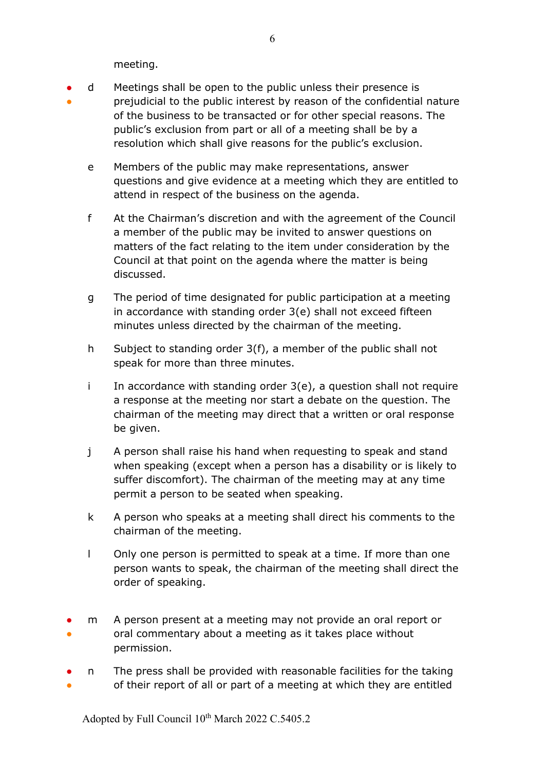meeting.

- ● d Meetings shall be open to the public unless their presence is prejudicial to the public interest by reason of the confidential nature of the business to be transacted or for other special reasons. The public's exclusion from part or all of a meeting shall be by a
	- e Members of the public may make representations, answer questions and give evidence at a meeting which they are entitled to attend in respect of the business on the agenda.

resolution which shall give reasons for the public's exclusion.

- f At the Chairman's discretion and with the agreement of the Council a member of the public may be invited to answer questions on matters of the fact relating to the item under consideration by the Council at that point on the agenda where the matter is being discussed.
- g The period of time designated for public participation at a meeting in accordance with standing order 3(e) shall not exceed fifteen minutes unless directed by the chairman of the meeting.
- h Subject to standing order 3(f), a member of the public shall not speak for more than three minutes.
- i In accordance with standing order  $3(e)$ , a question shall not require a response at the meeting nor start a debate on the question. The chairman of the meeting may direct that a written or oral response be given.
- j A person shall raise his hand when requesting to speak and stand when speaking (except when a person has a disability or is likely to suffer discomfort). The chairman of the meeting may at any time permit a person to be seated when speaking.
- k A person who speaks at a meeting shall direct his comments to the chairman of the meeting.
- l Only one person is permitted to speak at a time. If more than one person wants to speak, the chairman of the meeting shall direct the order of speaking.
- ● m A person present at a meeting may not provide an oral report or oral commentary about a meeting as it takes place without permission.
- ● n The press shall be provided with reasonable facilities for the taking of their report of all or part of a meeting at which they are entitled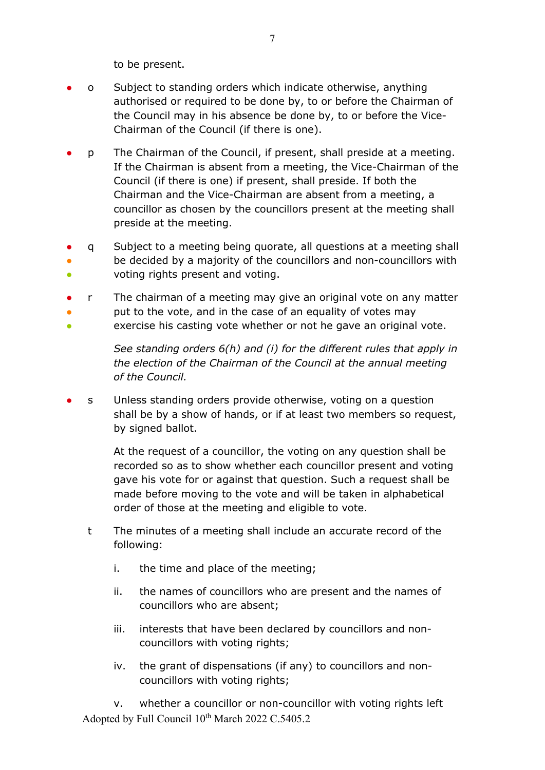to be present.

- o Subject to standing orders which indicate otherwise, anything authorised or required to be done by, to or before the Chairman of the Council may in his absence be done by, to or before the Vice-Chairman of the Council (if there is one).
- p The Chairman of the Council, if present, shall preside at a meeting. If the Chairman is absent from a meeting, the Vice-Chairman of the Council (if there is one) if present, shall preside. If both the Chairman and the Vice-Chairman are absent from a meeting, a councillor as chosen by the councillors present at the meeting shall preside at the meeting.
- ● ● q Subject to a meeting being quorate, all questions at a meeting shall be decided by a majority of the councillors and non-councillors with voting rights present and voting.
- r The chairman of a meeting may give an original vote on any matter
- put to the vote, and in the case of an equality of votes may
- exercise his casting vote whether or not he gave an original vote.

*See standing orders 6(h) and (i) for the different rules that apply in the election of the Chairman of the Council at the annual meeting of the Council.*

s Unless standing orders provide otherwise, voting on a question shall be by a show of hands, or if at least two members so request, by signed ballot.

> At the request of a councillor, the voting on any question shall be recorded so as to show whether each councillor present and voting gave his vote for or against that question. Such a request shall be made before moving to the vote and will be taken in alphabetical order of those at the meeting and eligible to vote.

- t The minutes of a meeting shall include an accurate record of the following:
	- i. the time and place of the meeting;
	- ii. the names of councillors who are present and the names of councillors who are absent;
	- iii. interests that have been declared by councillors and noncouncillors with voting rights;
	- iv. the grant of dispensations (if any) to councillors and noncouncillors with voting rights;

Adopted by Full Council 10<sup>th</sup> March 2022 C.5405.2 v. whether a councillor or non-councillor with voting rights left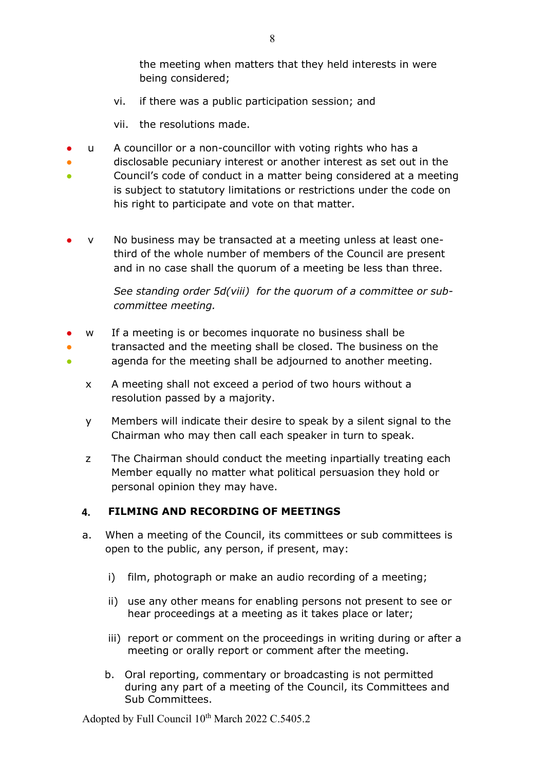the meeting when matters that they held interests in were being considered;

- vi. if there was a public participation session; and
- vii. the resolutions made.
- u A councillor or a non-councillor with voting rights who has a
- disclosable pecuniary interest or another interest as set out in the
- 。<br>● Council's code of conduct in a matter being considered at a meeting is subject to statutory limitations or restrictions under the code on his right to participate and vote on that matter.
- v No business may be transacted at a meeting unless at least onethird of the whole number of members of the Council are present and in no case shall the quorum of a meeting be less than three.

*See standing order 5d(viii) for the quorum of a committee or subcommittee meeting.* 

- w If a meeting is or becomes inquorate no business shall be
- ● transacted and the meeting shall be closed. The business on the agenda for the meeting shall be adjourned to another meeting.
	- x A meeting shall not exceed a period of two hours without a resolution passed by a majority.
	- y Members will indicate their desire to speak by a silent signal to the Chairman who may then call each speaker in turn to speak.
	- z The Chairman should conduct the meeting inpartially treating each Member equally no matter what political persuasion they hold or personal opinion they may have.

#### **FILMING AND RECORDING OF MEETINGS**  $\mathbf{4}$

- a. When a meeting of the Council, its committees or sub committees is open to the public, any person, if present, may:
	- i) film, photograph or make an audio recording of a meeting;
	- ii) use any other means for enabling persons not present to see or hear proceedings at a meeting as it takes place or later;
	- iii) report or comment on the proceedings in writing during or after a meeting or orally report or comment after the meeting.
	- b. Oral reporting, commentary or broadcasting is not permitted during any part of a meeting of the Council, its Committees and Sub Committees.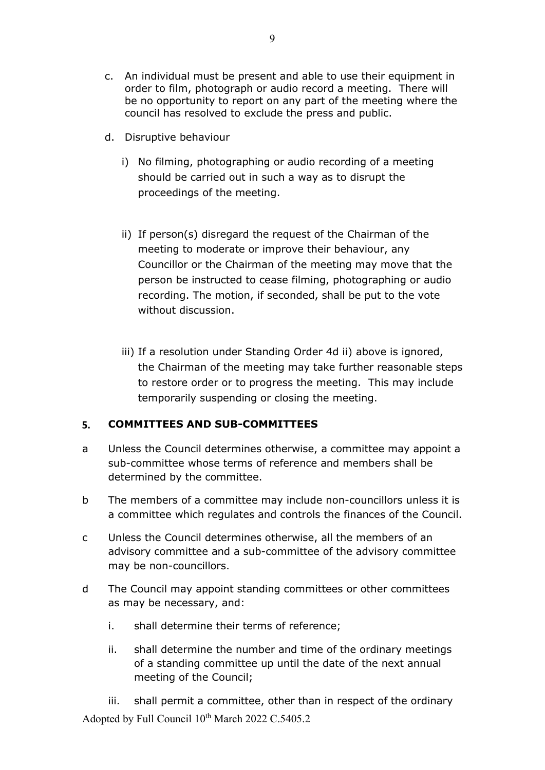- c. An individual must be present and able to use their equipment in order to film, photograph or audio record a meeting. There will be no opportunity to report on any part of the meeting where the council has resolved to exclude the press and public.
- d. Disruptive behaviour
	- i) No filming, photographing or audio recording of a meeting should be carried out in such a way as to disrupt the proceedings of the meeting.
	- ii) If person(s) disregard the request of the Chairman of the meeting to moderate or improve their behaviour, any Councillor or the Chairman of the meeting may move that the person be instructed to cease filming, photographing or audio recording. The motion, if seconded, shall be put to the vote without discussion.
	- iii) If a resolution under Standing Order 4d ii) above is ignored, the Chairman of the meeting may take further reasonable steps to restore order or to progress the meeting. This may include temporarily suspending or closing the meeting.

#### 5. **COMMITTEES AND SUB-COMMITTEES**

- a Unless the Council determines otherwise, a committee may appoint a sub-committee whose terms of reference and members shall be determined by the committee.
- b The members of a committee may include non-councillors unless it is a committee which regulates and controls the finances of the Council.
- c Unless the Council determines otherwise, all the members of an advisory committee and a sub-committee of the advisory committee may be non-councillors.
- d The Council may appoint standing committees or other committees as may be necessary, and:
	- i. shall determine their terms of reference;
	- ii. shall determine the number and time of the ordinary meetings of a standing committee up until the date of the next annual meeting of the Council;

Adopted by Full Council 10<sup>th</sup> March 2022 C.5405.2 iii. shall permit a committee, other than in respect of the ordinary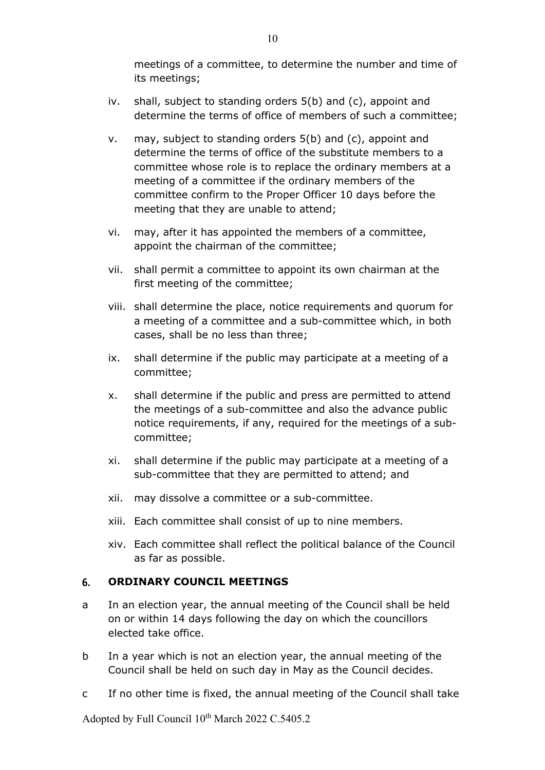meetings of a committee, to determine the number and time of its meetings;

- iv. shall, subject to standing orders 5(b) and (c), appoint and determine the terms of office of members of such a committee;
- v. may, subject to standing orders 5(b) and (c), appoint and determine the terms of office of the substitute members to a committee whose role is to replace the ordinary members at a meeting of a committee if the ordinary members of the committee confirm to the Proper Officer 10 days before the meeting that they are unable to attend;
- vi. may, after it has appointed the members of a committee, appoint the chairman of the committee;
- vii. shall permit a committee to appoint its own chairman at the first meeting of the committee;
- viii. shall determine the place, notice requirements and quorum for a meeting of a committee and a sub-committee which, in both cases, shall be no less than three;
- ix. shall determine if the public may participate at a meeting of a committee;
- x. shall determine if the public and press are permitted to attend the meetings of a sub-committee and also the advance public notice requirements, if any, required for the meetings of a subcommittee;
- xi. shall determine if the public may participate at a meeting of a sub-committee that they are permitted to attend; and
- xii. may dissolve a committee or a sub-committee.
- xiii. Each committee shall consist of up to nine members.
- xiv. Each committee shall reflect the political balance of the Council as far as possible.

#### 6. **ORDINARY COUNCIL MEETINGS**

- a In an election year, the annual meeting of the Council shall be held on or within 14 days following the day on which the councillors elected take office.
- b In a year which is not an election year, the annual meeting of the Council shall be held on such day in May as the Council decides.
- c If no other time is fixed, the annual meeting of the Council shall take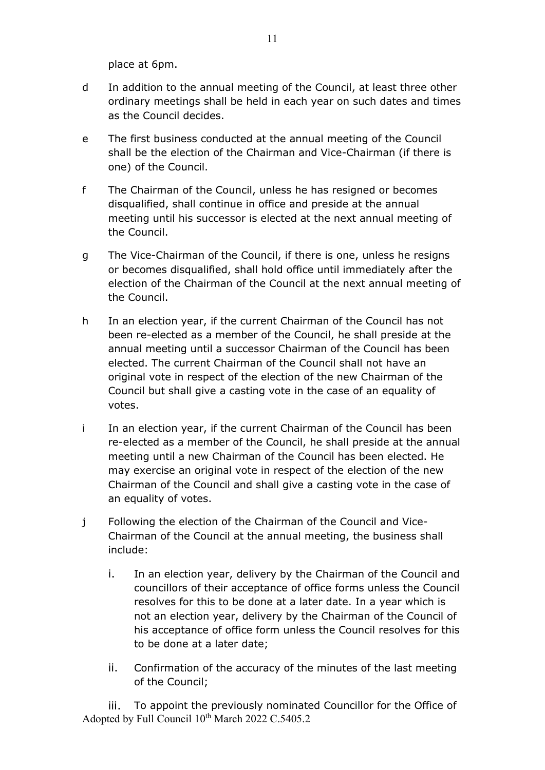place at 6pm.

- d In addition to the annual meeting of the Council, at least three other ordinary meetings shall be held in each year on such dates and times as the Council decides.
- e The first business conducted at the annual meeting of the Council shall be the election of the Chairman and Vice-Chairman (if there is one) of the Council.
- f The Chairman of the Council, unless he has resigned or becomes disqualified, shall continue in office and preside at the annual meeting until his successor is elected at the next annual meeting of the Council.
- g The Vice-Chairman of the Council, if there is one, unless he resigns or becomes disqualified, shall hold office until immediately after the election of the Chairman of the Council at the next annual meeting of the Council.
- h In an election year, if the current Chairman of the Council has not been re-elected as a member of the Council, he shall preside at the annual meeting until a successor Chairman of the Council has been elected. The current Chairman of the Council shall not have an original vote in respect of the election of the new Chairman of the Council but shall give a casting vote in the case of an equality of votes.
- i In an election year, if the current Chairman of the Council has been re-elected as a member of the Council, he shall preside at the annual meeting until a new Chairman of the Council has been elected. He may exercise an original vote in respect of the election of the new Chairman of the Council and shall give a casting vote in the case of an equality of votes.
- j Following the election of the Chairman of the Council and Vice-Chairman of the Council at the annual meeting, the business shall include:
	- i. In an election year, delivery by the Chairman of the Council and councillors of their acceptance of office forms unless the Council resolves for this to be done at a later date. In a year which is not an election year, delivery by the Chairman of the Council of his acceptance of office form unless the Council resolves for this to be done at a later date;
	- ii. Confirmation of the accuracy of the minutes of the last meeting of the Council;

Adopted by Full Council 10<sup>th</sup> March 2022 C.5405.2 iii. To appoint the previously nominated Councillor for the Office of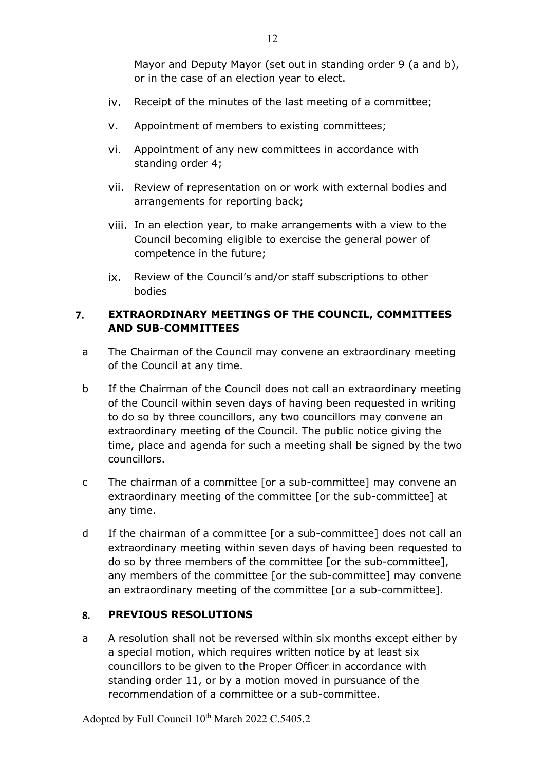Mayor and Deputy Mayor (set out in standing order 9 (a and b), or in the case of an election year to elect.

- iv. Receipt of the minutes of the last meeting of a committee;
- v. Appointment of members to existing committees;
- vi. Appointment of any new committees in accordance with standing order 4;
- vii. Review of representation on or work with external bodies and arrangements for reporting back;
- viii. In an election year, to make arrangements with a view to the Council becoming eligible to exercise the general power of competence in the future;
- ix. Review of the Council's and/or staff subscriptions to other bodies

### 7. **EXTRAORDINARY MEETINGS OF THE COUNCIL, COMMITTEES AND SUB-COMMITTEES**

- a The Chairman of the Council may convene an extraordinary meeting of the Council at any time.
- b If the Chairman of the Council does not call an extraordinary meeting of the Council within seven days of having been requested in writing to do so by three councillors, any two councillors may convene an extraordinary meeting of the Council. The public notice giving the time, place and agenda for such a meeting shall be signed by the two councillors.
- c The chairman of a committee [or a sub-committee] may convene an extraordinary meeting of the committee [or the sub-committee] at any time.
- d If the chairman of a committee [or a sub-committee] does not call an extraordinary meeting within seven days of having been requested to do so by three members of the committee [or the sub-committee], any members of the committee [or the sub-committee] may convene an extraordinary meeting of the committee [or a sub-committee].

#### 8. **PREVIOUS RESOLUTIONS**

a A resolution shall not be reversed within six months except either by a special motion, which requires written notice by at least six councillors to be given to the Proper Officer in accordance with standing order 11, or by a motion moved in pursuance of the recommendation of a committee or a sub-committee.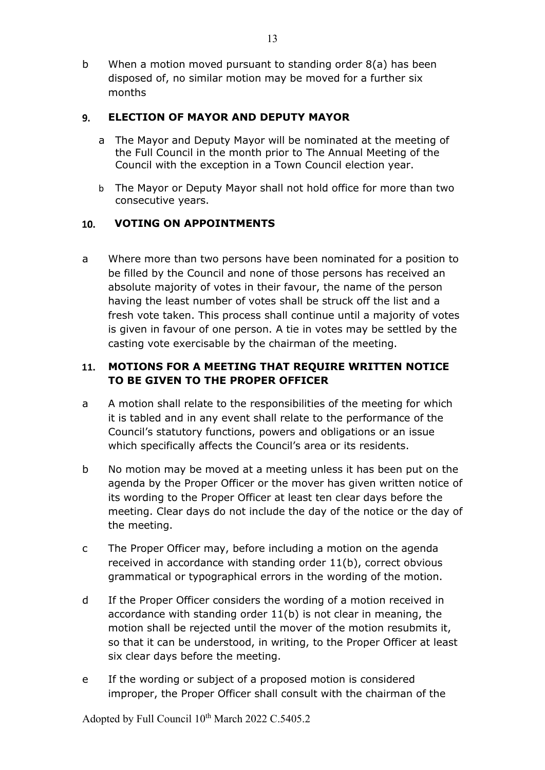b When a motion moved pursuant to standing order 8(a) has been disposed of, no similar motion may be moved for a further six months

#### **ELECTION OF MAYOR AND DEPUTY MAYOR** 9.

- a The Mayor and Deputy Mayor will be nominated at the meeting of the Full Council in the month prior to The Annual Meeting of the Council with the exception in a Town Council election year.
- b The Mayor or Deputy Mayor shall not hold office for more than two consecutive years.

#### $10.$ **VOTING ON APPOINTMENTS**

a Where more than two persons have been nominated for a position to be filled by the Council and none of those persons has received an absolute majority of votes in their favour, the name of the person having the least number of votes shall be struck off the list and a fresh vote taken. This process shall continue until a majority of votes is given in favour of one person. A tie in votes may be settled by the casting vote exercisable by the chairman of the meeting.

### **MOTIONS FOR A MEETING THAT REQUIRE WRITTEN NOTICE**  11. **TO BE GIVEN TO THE PROPER OFFICER**

- a A motion shall relate to the responsibilities of the meeting for which it is tabled and in any event shall relate to the performance of the Council's statutory functions, powers and obligations or an issue which specifically affects the Council's area or its residents.
- b No motion may be moved at a meeting unless it has been put on the agenda by the Proper Officer or the mover has given written notice of its wording to the Proper Officer at least ten clear days before the meeting. Clear days do not include the day of the notice or the day of the meeting.
- c The Proper Officer may, before including a motion on the agenda received in accordance with standing order 11(b), correct obvious grammatical or typographical errors in the wording of the motion.
- d If the Proper Officer considers the wording of a motion received in accordance with standing order 11(b) is not clear in meaning, the motion shall be rejected until the mover of the motion resubmits it, so that it can be understood, in writing, to the Proper Officer at least six clear days before the meeting.
- e If the wording or subject of a proposed motion is considered improper, the Proper Officer shall consult with the chairman of the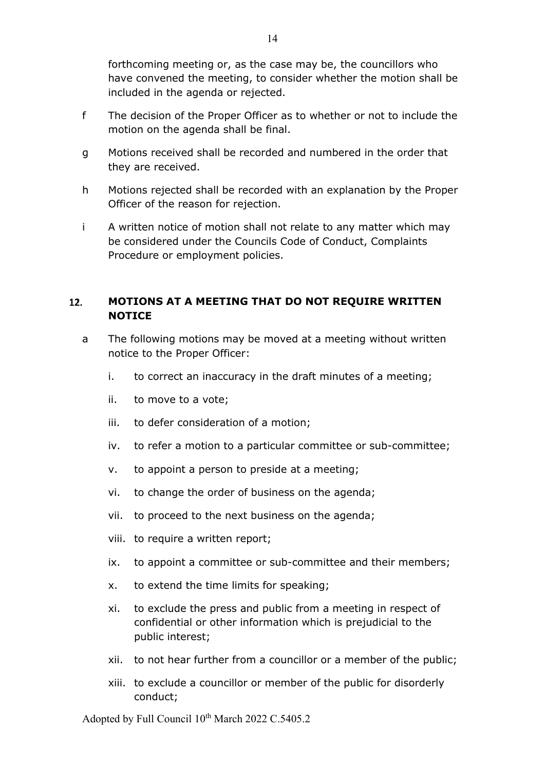forthcoming meeting or, as the case may be, the councillors who have convened the meeting, to consider whether the motion shall be included in the agenda or rejected.

- f The decision of the Proper Officer as to whether or not to include the motion on the agenda shall be final.
- g Motions received shall be recorded and numbered in the order that they are received.
- h Motions rejected shall be recorded with an explanation by the Proper Officer of the reason for rejection.
- i A written notice of motion shall not relate to any matter which may be considered under the Councils Code of Conduct, Complaints Procedure or employment policies.

### $12.$ **MOTIONS AT A MEETING THAT DO NOT REQUIRE WRITTEN NOTICE**

- a The following motions may be moved at a meeting without written notice to the Proper Officer:
	- i. to correct an inaccuracy in the draft minutes of a meeting;
	- ii. to move to a vote;
	- iii. to defer consideration of a motion;
	- iv. to refer a motion to a particular committee or sub-committee;
	- v. to appoint a person to preside at a meeting;
	- vi. to change the order of business on the agenda;
	- vii. to proceed to the next business on the agenda;
	- viii. to require a written report;
	- ix. to appoint a committee or sub-committee and their members;
	- x. to extend the time limits for speaking;
	- xi. to exclude the press and public from a meeting in respect of confidential or other information which is prejudicial to the public interest;
	- xii. to not hear further from a councillor or a member of the public;
	- xiii. to exclude a councillor or member of the public for disorderly conduct;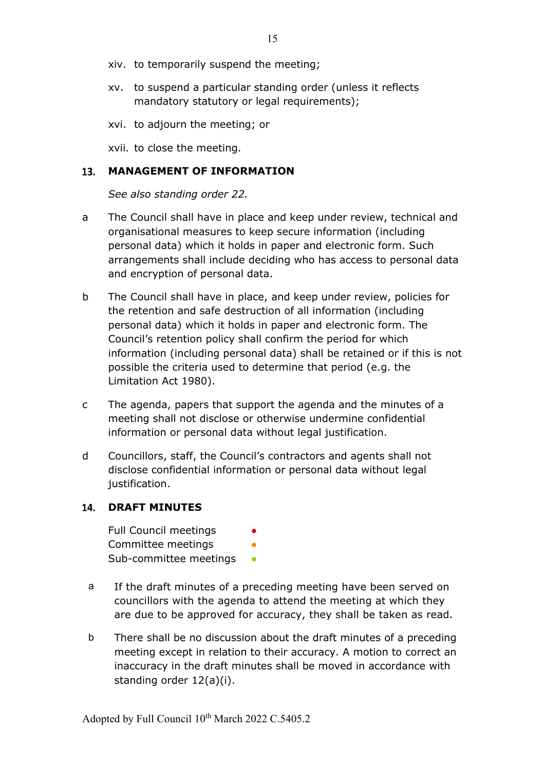- xiv. to temporarily suspend the meeting;
- xv. to suspend a particular standing order (unless it reflects mandatory statutory or legal requirements);
- xvi. to adjourn the meeting; or

xvii. to close the meeting.

### **MANAGEMENT OF INFORMATION**

*See also standing order 22.*

- a The Council shall have in place and keep under review, technical and organisational measures to keep secure information (including personal data) which it holds in paper and electronic form. Such arrangements shall include deciding who has access to personal data and encryption of personal data.
- b The Council shall have in place, and keep under review, policies for the retention and safe destruction of all information (including personal data) which it holds in paper and electronic form. The Council's retention policy shall confirm the period for which information (including personal data) shall be retained or if this is not possible the criteria used to determine that period (e.g. the Limitation Act 1980).
- c The agenda, papers that support the agenda and the minutes of a meeting shall not disclose or otherwise undermine confidential information or personal data without legal justification.
- d Councillors, staff, the Council's contractors and agents shall not disclose confidential information or personal data without legal justification.

### **DRAFT MINUTES**

Full Council meetings Committee meetings Sub-committee meetings

- a If the draft minutes of a preceding meeting have been served on councillors with the agenda to attend the meeting at which they are due to be approved for accuracy, they shall be taken as read.
- b There shall be no discussion about the draft minutes of a preceding meeting except in relation to their accuracy. A motion to correct an inaccuracy in the draft minutes shall be moved in accordance with standing order 12(a)(i).

15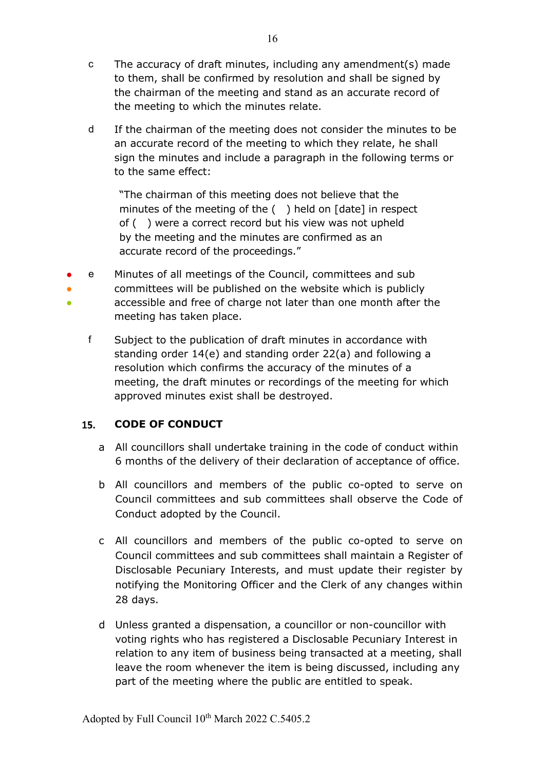- c The accuracy of draft minutes, including any amendment(s) made to them, shall be confirmed by resolution and shall be signed by the chairman of the meeting and stand as an accurate record of the meeting to which the minutes relate.
- d If the chairman of the meeting does not consider the minutes to be an accurate record of the meeting to which they relate, he shall sign the minutes and include a paragraph in the following terms or to the same effect:

"The chairman of this meeting does not believe that the minutes of the meeting of the ( ) held on [date] in respect of ( ) were a correct record but his view was not upheld by the meeting and the minutes are confirmed as an accurate record of the proceedings."

- ● ● e Minutes of all meetings of the Council, committees and sub committees will be published on the website which is publicly accessible and free of charge not later than one month after the meeting has taken place.
	- f Subject to the publication of draft minutes in accordance with standing order 14(e) and standing order 22(a) and following a resolution which confirms the accuracy of the minutes of a meeting, the draft minutes or recordings of the meeting for which approved minutes exist shall be destroyed.

#### 15. **CODE OF CONDUCT**

- a All councillors shall undertake training in the code of conduct within 6 months of the delivery of their declaration of acceptance of office.
- b All councillors and members of the public co-opted to serve on Council committees and sub committees shall observe the Code of Conduct adopted by the Council.
- c All councillors and members of the public co-opted to serve on Council committees and sub committees shall maintain a Register of Disclosable Pecuniary Interests, and must update their register by notifying the Monitoring Officer and the Clerk of any changes within 28 days.
- d Unless granted a dispensation, a councillor or non-councillor with voting rights who has registered a Disclosable Pecuniary Interest in relation to any item of business being transacted at a meeting, shall leave the room whenever the item is being discussed, including any part of the meeting where the public are entitled to speak.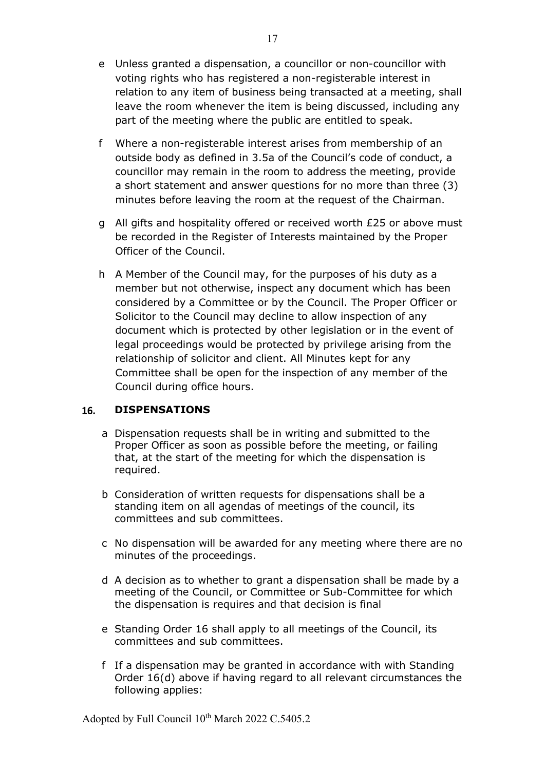- e Unless granted a dispensation, a councillor or non-councillor with voting rights who has registered a non-registerable interest in relation to any item of business being transacted at a meeting, shall leave the room whenever the item is being discussed, including any part of the meeting where the public are entitled to speak.
- f Where a non-registerable interest arises from membership of an outside body as defined in 3.5a of the Council's code of conduct, a councillor may remain in the room to address the meeting, provide a short statement and answer questions for no more than three (3) minutes before leaving the room at the request of the Chairman.
- g All gifts and hospitality offered or received worth £25 or above must be recorded in the Register of Interests maintained by the Proper Officer of the Council.
- h A Member of the Council may, for the purposes of his duty as a member but not otherwise, inspect any document which has been considered by a Committee or by the Council. The Proper Officer or Solicitor to the Council may decline to allow inspection of any document which is protected by other legislation or in the event of legal proceedings would be protected by privilege arising from the relationship of solicitor and client. All Minutes kept for any Committee shall be open for the inspection of any member of the Council during office hours.

#### **DISPENSATIONS** 16.

- a Dispensation requests shall be in writing and submitted to the Proper Officer as soon as possible before the meeting, or failing that, at the start of the meeting for which the dispensation is required.
- b Consideration of written requests for dispensations shall be a standing item on all agendas of meetings of the council, its committees and sub committees.
- c No dispensation will be awarded for any meeting where there are no minutes of the proceedings.
- d A decision as to whether to grant a dispensation shall be made by a meeting of the Council, or Committee or Sub-Committee for which the dispensation is requires and that decision is final
- e Standing Order 16 shall apply to all meetings of the Council, its committees and sub committees.
- f If a dispensation may be granted in accordance with with Standing Order 16(d) above if having regard to all relevant circumstances the following applies:

17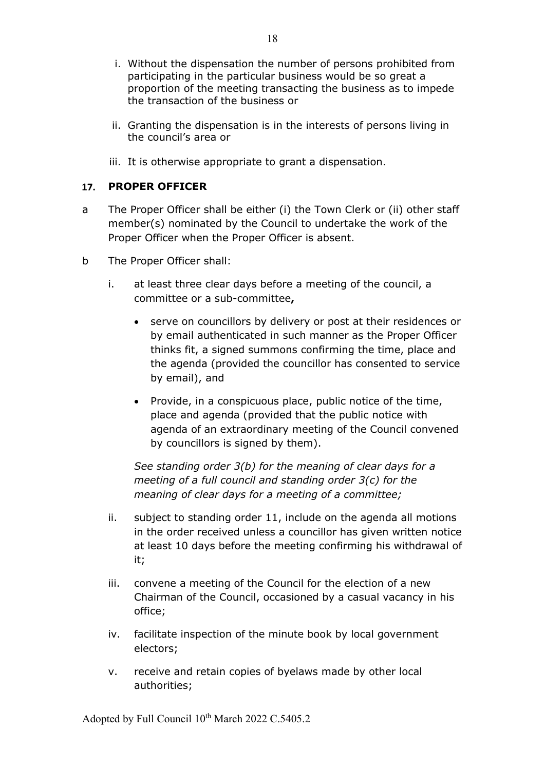- i. Without the dispensation the number of persons prohibited from participating in the particular business would be so great a proportion of the meeting transacting the business as to impede the transaction of the business or
- ii. Granting the dispensation is in the interests of persons living in the council's area or
- iii. It is otherwise appropriate to grant a dispensation.

#### $17.$ **PROPER OFFICER**

- a The Proper Officer shall be either (i) the Town Clerk or (ii) other staff member(s) nominated by the Council to undertake the work of the Proper Officer when the Proper Officer is absent.
- b The Proper Officer shall:
	- i. at least three clear days before a meeting of the council, a committee or a sub-committee**,**
		- serve on councillors by delivery or post at their residences or by email authenticated in such manner as the Proper Officer thinks fit, a signed summons confirming the time, place and the agenda (provided the councillor has consented to service by email), and
		- Provide, in a conspicuous place, public notice of the time, place and agenda (provided that the public notice with agenda of an extraordinary meeting of the Council convened by councillors is signed by them).

*See standing order 3(b) for the meaning of clear days for a meeting of a full council and standing order 3(c) for the meaning of clear days for a meeting of a committee;*

- ii. subject to standing order 11, include on the agenda all motions in the order received unless a councillor has given written notice at least 10 days before the meeting confirming his withdrawal of it;
- iii. convene a meeting of the Council for the election of a new Chairman of the Council, occasioned by a casual vacancy in his office;
- iv. facilitate inspection of the minute book by local government electors;
- v. receive and retain copies of byelaws made by other local authorities;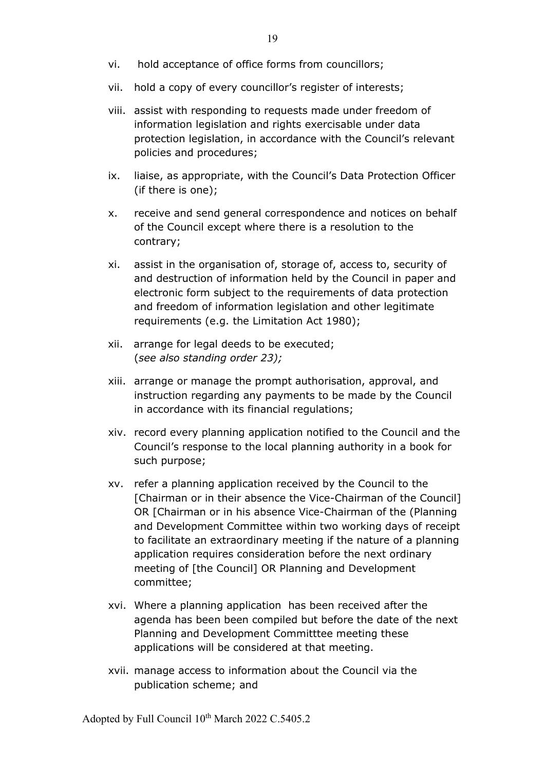- vi. hold acceptance of office forms from councillors;
- vii. hold a copy of every councillor's register of interests;
- viii. assist with responding to requests made under freedom of information legislation and rights exercisable under data protection legislation, in accordance with the Council's relevant policies and procedures;
- ix. liaise, as appropriate, with the Council's Data Protection Officer (if there is one);
- x. receive and send general correspondence and notices on behalf of the Council except where there is a resolution to the contrary;
- xi. assist in the organisation of, storage of, access to, security of and destruction of information held by the Council in paper and electronic form subject to the requirements of data protection and freedom of information legislation and other legitimate requirements (e.g. the Limitation Act 1980);
- xii. arrange for legal deeds to be executed; (*see also standing order 23);*
- xiii. arrange or manage the prompt authorisation, approval, and instruction regarding any payments to be made by the Council in accordance with its financial regulations;
- xiv. record every planning application notified to the Council and the Council's response to the local planning authority in a book for such purpose;
- xv. refer a planning application received by the Council to the [Chairman or in their absence the Vice-Chairman of the Council] OR [Chairman or in his absence Vice-Chairman of the (Planning and Development Committee within two working days of receipt to facilitate an extraordinary meeting if the nature of a planning application requires consideration before the next ordinary meeting of [the Council] OR Planning and Development committee;
- xvi. Where a planning application has been received after the agenda has been been compiled but before the date of the next Planning and Development Committtee meeting these applications will be considered at that meeting.
- xvii. manage access to information about the Council via the publication scheme; and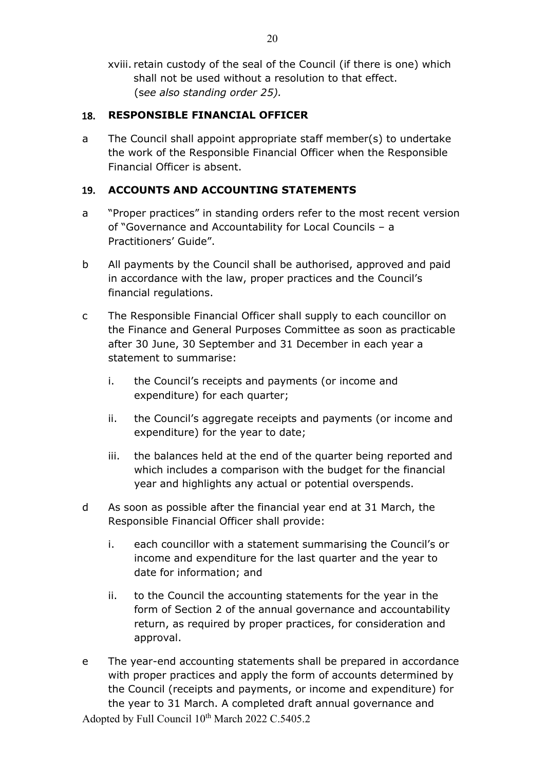xviii. retain custody of the seal of the Council (if there is one) which shall not be used without a resolution to that effect. (s*ee also standing order 25).*

#### **RESPONSIBLE FINANCIAL OFFICER**  18.

a The Council shall appoint appropriate staff member(s) to undertake the work of the Responsible Financial Officer when the Responsible Financial Officer is absent.

#### **ACCOUNTS AND ACCOUNTING STATEMENTS 19.**

- a "Proper practices" in standing orders refer to the most recent version of "Governance and Accountability for Local Councils – a Practitioners' Guide".
- b All payments by the Council shall be authorised, approved and paid in accordance with the law, proper practices and the Council's financial regulations.
- c The Responsible Financial Officer shall supply to each councillor on the Finance and General Purposes Committee as soon as practicable after 30 June, 30 September and 31 December in each year a statement to summarise:
	- i. the Council's receipts and payments (or income and expenditure) for each quarter;
	- ii. the Council's aggregate receipts and payments (or income and expenditure) for the year to date;
	- iii. the balances held at the end of the quarter being reported and which includes a comparison with the budget for the financial year and highlights any actual or potential overspends.
- d As soon as possible after the financial year end at 31 March, the Responsible Financial Officer shall provide:
	- i. each councillor with a statement summarising the Council's or income and expenditure for the last quarter and the year to date for information; and
	- ii. to the Council the accounting statements for the year in the form of Section 2 of the annual governance and accountability return, as required by proper practices, for consideration and approval.
- Adopted by Full Council 10<sup>th</sup> March 2022 C.5405.2 e The year-end accounting statements shall be prepared in accordance with proper practices and apply the form of accounts determined by the Council (receipts and payments, or income and expenditure) for the year to 31 March. A completed draft annual governance and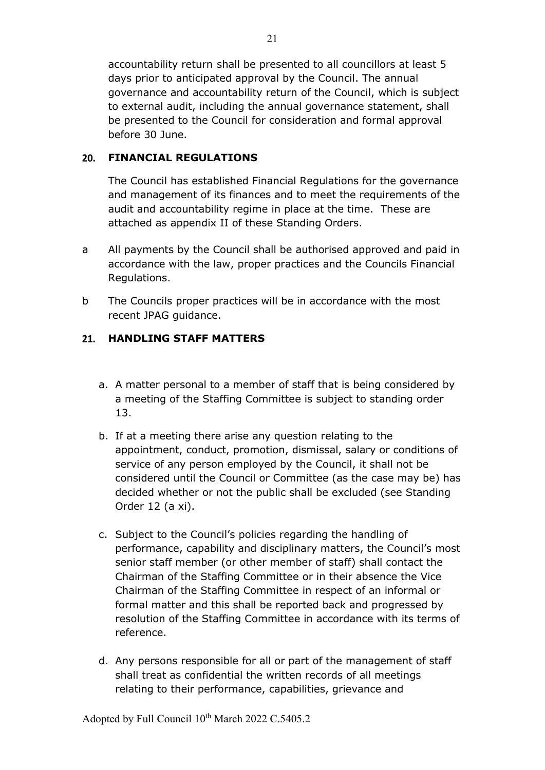accountability return shall be presented to all councillors at least 5 days prior to anticipated approval by the Council. The annual governance and accountability return of the Council, which is subject to external audit, including the annual governance statement, shall be presented to the Council for consideration and formal approval before 30 June.

### **FINANCIAL REGULATIONS**

The Council has established Financial Regulations for the governance and management of its finances and to meet the requirements of the audit and accountability regime in place at the time. These are attached as appendix II of these Standing Orders.

- a All payments by the Council shall be authorised approved and paid in accordance with the law, proper practices and the Councils Financial Regulations.
- b The Councils proper practices will be in accordance with the most recent JPAG guidance.

### **HANDLING STAFF MATTERS**

- a. A matter personal to a member of staff that is being considered by a meeting of the Staffing Committee is subject to standing order 13.
- b. If at a meeting there arise any question relating to the appointment, conduct, promotion, dismissal, salary or conditions of service of any person employed by the Council, it shall not be considered until the Council or Committee (as the case may be) has decided whether or not the public shall be excluded (see Standing Order 12 (a xi).
- c. Subject to the Council's policies regarding the handling of performance, capability and disciplinary matters, the Council's most senior staff member (or other member of staff) shall contact the Chairman of the Staffing Committee or in their absence the Vice Chairman of the Staffing Committee in respect of an informal or formal matter and this shall be reported back and progressed by resolution of the Staffing Committee in accordance with its terms of reference.
- d. Any persons responsible for all or part of the management of staff shall treat as confidential the written records of all meetings relating to their performance, capabilities, grievance and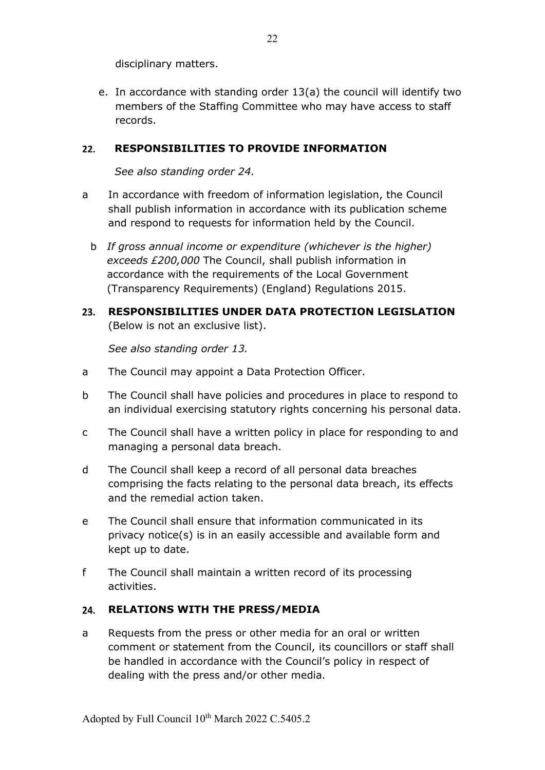disciplinary matters.

e. In accordance with standing order 13(a) the council will identify two members of the Staffing Committee who may have access to staff records.

#### $22.$ **RESPONSIBILITIES TO PROVIDE INFORMATION**

*See also standing order 24.*

- a In accordance with freedom of information legislation, the Council shall publish information in accordance with its publication scheme and respond to requests for information held by the Council.
	- b *If gross annual income or expenditure (whichever is the higher) exceeds £200,000* The Council, shall publish information in accordance with the requirements of the Local Government (Transparency Requirements) (England) Regulations 2015.
- **RESPONSIBILITIES UNDER DATA PROTECTION LEGISLATION**  (Below is not an exclusive list).

*See also standing order 13.*

- a The Council may appoint a Data Protection Officer.
- b The Council shall have policies and procedures in place to respond to an individual exercising statutory rights concerning his personal data.
- c The Council shall have a written policy in place for responding to and managing a personal data breach.
- d The Council shall keep a record of all personal data breaches comprising the facts relating to the personal data breach, its effects and the remedial action taken.
- e The Council shall ensure that information communicated in its privacy notice(s) is in an easily accessible and available form and kept up to date.
- f The Council shall maintain a written record of its processing activities.

#### **RELATIONS WITH THE PRESS/MEDIA**  $24.$

a Requests from the press or other media for an oral or written comment or statement from the Council, its councillors or staff shall be handled in accordance with the Council's policy in respect of dealing with the press and/or other media.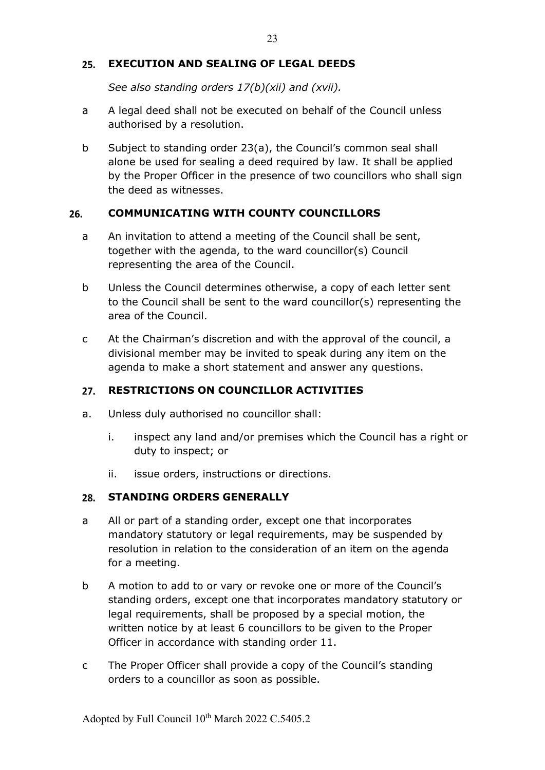#### 25. **EXECUTION AND SEALING OF LEGAL DEEDS**

*See also standing orders 17(b)(xii) and (xvii).*

- a A legal deed shall not be executed on behalf of the Council unless authorised by a resolution.
- b Subject to standing order 23(a), the Council's common seal shall alone be used for sealing a deed required by law. It shall be applied by the Proper Officer in the presence of two councillors who shall sign the deed as witnesses.

#### 26. **COMMUNICATING WITH COUNTY COUNCILLORS**

- a An invitation to attend a meeting of the Council shall be sent, together with the agenda, to the ward councillor(s) Council representing the area of the Council.
- b Unless the Council determines otherwise, a copy of each letter sent to the Council shall be sent to the ward councillor(s) representing the area of the Council.
- c At the Chairman's discretion and with the approval of the council, a divisional member may be invited to speak during any item on the agenda to make a short statement and answer any questions.

### **RESTRICTIONS ON COUNCILLOR ACTIVITIES**

- a. Unless duly authorised no councillor shall:
	- i. inspect any land and/or premises which the Council has a right or duty to inspect; or
	- ii. issue orders, instructions or directions.

### 28. STANDING ORDERS GENERALLY

- a All or part of a standing order, except one that incorporates mandatory statutory or legal requirements, may be suspended by resolution in relation to the consideration of an item on the agenda for a meeting.
- b A motion to add to or vary or revoke one or more of the Council's standing orders, except one that incorporates mandatory statutory or legal requirements, shall be proposed by a special motion, the written notice by at least 6 councillors to be given to the Proper Officer in accordance with standing order 11.
- c The Proper Officer shall provide a copy of the Council's standing orders to a councillor as soon as possible.